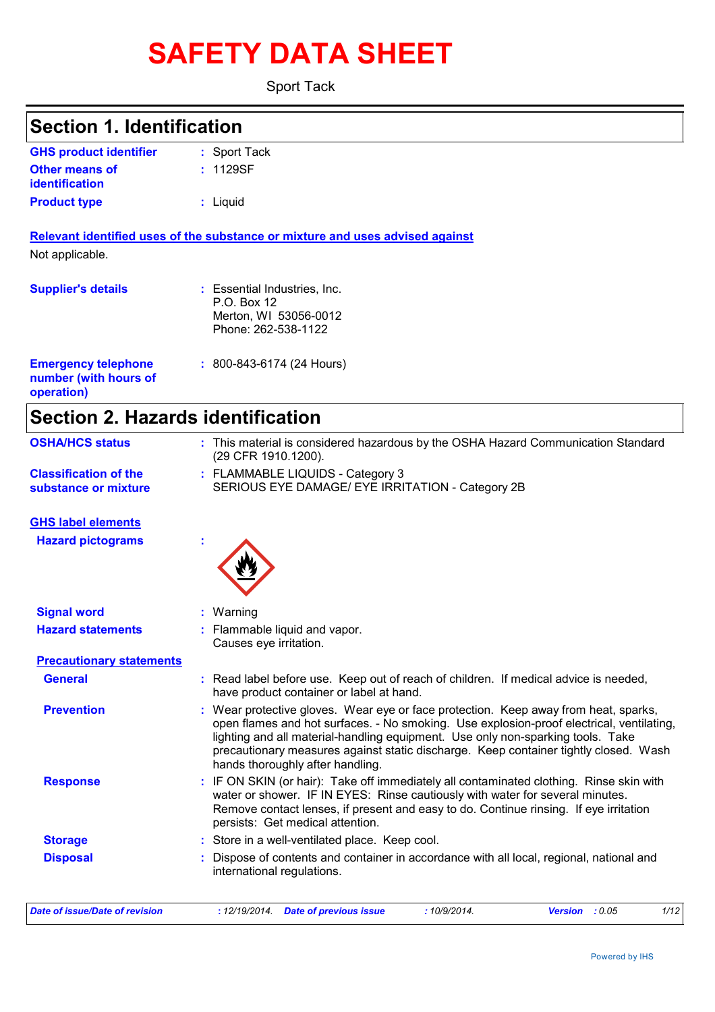# **SAFETY DATA SHEET**

Sport Tack

| <b>Section 1. Identification</b>                                  |                                                                                             |  |  |  |
|-------------------------------------------------------------------|---------------------------------------------------------------------------------------------|--|--|--|
| <b>GHS product identifier</b>                                     | : Sport Tack                                                                                |  |  |  |
| <b>Other means of</b><br><b>identification</b>                    | : 1129SF                                                                                    |  |  |  |
| <b>Product type</b>                                               | : Liquid                                                                                    |  |  |  |
|                                                                   | Relevant identified uses of the substance or mixture and uses advised against               |  |  |  |
| Not applicable.                                                   |                                                                                             |  |  |  |
| <b>Supplier's details</b>                                         | : Essential Industries, Inc.<br>P.O. Box 12<br>Merton, WI 53056-0012<br>Phone: 262-538-1122 |  |  |  |
| <b>Emergency telephone</b><br>number (with hours of<br>operation) | : 800-843-6174 (24 Hours)                                                                   |  |  |  |

**Section 2. Hazards identification**

| <b>OSHA/HCS status</b>                               | : This material is considered hazardous by the OSHA Hazard Communication Standard<br>(29 CFR 1910.1200).                                                                                                                                                                                                                                                                                     |
|------------------------------------------------------|----------------------------------------------------------------------------------------------------------------------------------------------------------------------------------------------------------------------------------------------------------------------------------------------------------------------------------------------------------------------------------------------|
| <b>Classification of the</b><br>substance or mixture | : FLAMMABLE LIQUIDS - Category 3<br>SERIOUS EYE DAMAGE/ EYE IRRITATION - Category 2B                                                                                                                                                                                                                                                                                                         |
| <b>GHS label elements</b>                            |                                                                                                                                                                                                                                                                                                                                                                                              |
| <b>Hazard pictograms</b>                             |                                                                                                                                                                                                                                                                                                                                                                                              |
| <b>Signal word</b>                                   | : Warning                                                                                                                                                                                                                                                                                                                                                                                    |
| <b>Hazard statements</b>                             | : Flammable liquid and vapor.<br>Causes eye irritation.                                                                                                                                                                                                                                                                                                                                      |
| <b>Precautionary statements</b>                      |                                                                                                                                                                                                                                                                                                                                                                                              |
| <b>General</b>                                       | : Read label before use. Keep out of reach of children. If medical advice is needed,<br>have product container or label at hand.                                                                                                                                                                                                                                                             |
| <b>Prevention</b>                                    | Wear protective gloves. Wear eye or face protection. Keep away from heat, sparks,<br>open flames and hot surfaces. - No smoking. Use explosion-proof electrical, ventilating,<br>lighting and all material-handling equipment. Use only non-sparking tools. Take<br>precautionary measures against static discharge. Keep container tightly closed. Wash<br>hands thoroughly after handling. |
| <b>Response</b>                                      | : IF ON SKIN (or hair): Take off immediately all contaminated clothing. Rinse skin with<br>water or shower. IF IN EYES: Rinse cautiously with water for several minutes.<br>Remove contact lenses, if present and easy to do. Continue rinsing. If eye irritation<br>persists: Get medical attention.                                                                                        |
| <b>Storage</b>                                       | : Store in a well-ventilated place. Keep cool.                                                                                                                                                                                                                                                                                                                                               |
| <b>Disposal</b>                                      | Dispose of contents and container in accordance with all local, regional, national and                                                                                                                                                                                                                                                                                                       |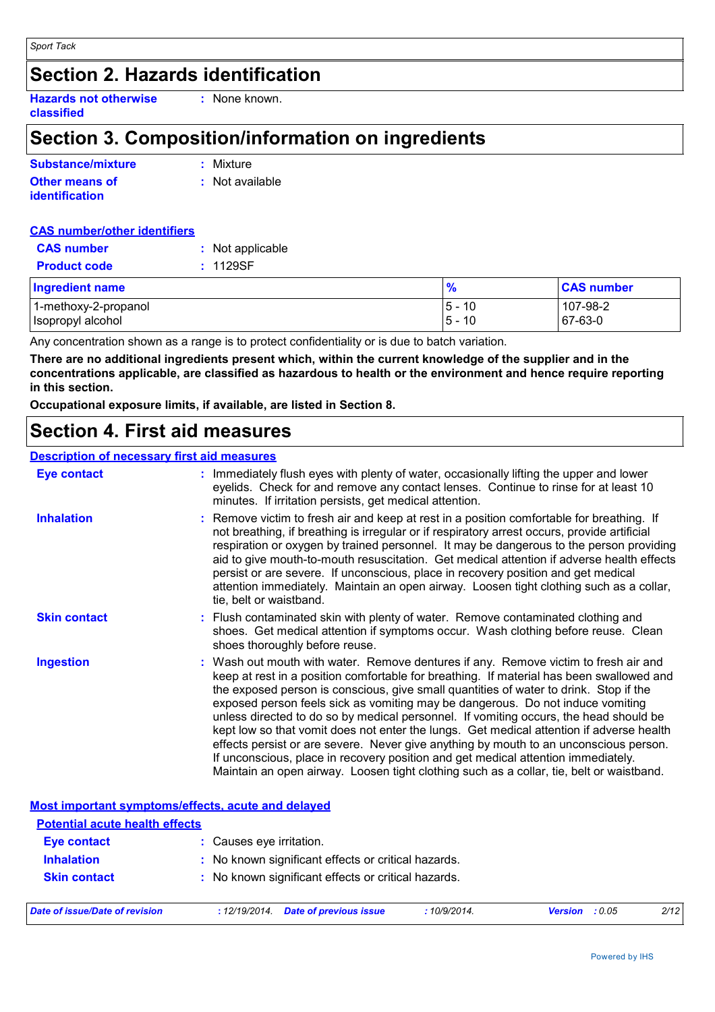## **Section 2. Hazards identification**

**Hazards not otherwise classified :** None known.

## **Section 3. Composition/information on ingredients**

| Substance/mixture     | : Mixture         |
|-----------------------|-------------------|
| <b>Other means of</b> | $:$ Not available |
| <i>identification</i> |                   |

| <b>CAS number/other identifiers</b>  |                  |
|--------------------------------------|------------------|
| <b>CAS</b> number                    | : Not applicable |
| <b>Product code</b>                  | : 1129SF         |
| The company of the second company of |                  |

| <b>Ingredient name</b> | %           | <b>CAS number</b> |
|------------------------|-------------|-------------------|
| 1-methoxy-2-propanol   | $-5-$<br>10 | 107-98-2          |
| Isopropyl alcohol      | $5 -$<br>10 | 67-63-0           |

Any concentration shown as a range is to protect confidentiality or is due to batch variation.

**There are no additional ingredients present which, within the current knowledge of the supplier and in the concentrations applicable, are classified as hazardous to health or the environment and hence require reporting in this section.**

**Occupational exposure limits, if available, are listed in Section 8.**

### **Section 4. First aid measures**

#### **Description of necessary first aid measures**

| <b>Eye contact</b>                                 | : Immediately flush eyes with plenty of water, occasionally lifting the upper and lower<br>eyelids. Check for and remove any contact lenses. Continue to rinse for at least 10<br>minutes. If irritation persists, get medical attention.                                                                                                                                                                                                                                                                                                                                                                                                                                                                                                                                                                                 |
|----------------------------------------------------|---------------------------------------------------------------------------------------------------------------------------------------------------------------------------------------------------------------------------------------------------------------------------------------------------------------------------------------------------------------------------------------------------------------------------------------------------------------------------------------------------------------------------------------------------------------------------------------------------------------------------------------------------------------------------------------------------------------------------------------------------------------------------------------------------------------------------|
| <b>Inhalation</b>                                  | : Remove victim to fresh air and keep at rest in a position comfortable for breathing. If<br>not breathing, if breathing is irregular or if respiratory arrest occurs, provide artificial<br>respiration or oxygen by trained personnel. It may be dangerous to the person providing<br>aid to give mouth-to-mouth resuscitation. Get medical attention if adverse health effects<br>persist or are severe. If unconscious, place in recovery position and get medical<br>attention immediately. Maintain an open airway. Loosen tight clothing such as a collar,<br>tie, belt or waistband.                                                                                                                                                                                                                              |
| <b>Skin contact</b>                                | : Flush contaminated skin with plenty of water. Remove contaminated clothing and<br>shoes. Get medical attention if symptoms occur. Wash clothing before reuse. Clean<br>shoes thoroughly before reuse.                                                                                                                                                                                                                                                                                                                                                                                                                                                                                                                                                                                                                   |
| <b>Ingestion</b>                                   | : Wash out mouth with water. Remove dentures if any. Remove victim to fresh air and<br>keep at rest in a position comfortable for breathing. If material has been swallowed and<br>the exposed person is conscious, give small quantities of water to drink. Stop if the<br>exposed person feels sick as vomiting may be dangerous. Do not induce vomiting<br>unless directed to do so by medical personnel. If vomiting occurs, the head should be<br>kept low so that vomit does not enter the lungs. Get medical attention if adverse health<br>effects persist or are severe. Never give anything by mouth to an unconscious person.<br>If unconscious, place in recovery position and get medical attention immediately.<br>Maintain an open airway. Loosen tight clothing such as a collar, tie, belt or waistband. |
| Most important symptoms/effects, acute and delayed |                                                                                                                                                                                                                                                                                                                                                                                                                                                                                                                                                                                                                                                                                                                                                                                                                           |
| <b>Potential acute health effects</b>              |                                                                                                                                                                                                                                                                                                                                                                                                                                                                                                                                                                                                                                                                                                                                                                                                                           |
| <b>Eye contact</b>                                 | : Causes eye irritation.                                                                                                                                                                                                                                                                                                                                                                                                                                                                                                                                                                                                                                                                                                                                                                                                  |

| <b>Skin contact</b>            | : No known significant effects or critical hazards. |             |                       |      |
|--------------------------------|-----------------------------------------------------|-------------|-----------------------|------|
| Date of issue/Date of revision | : 12/19/2014. Date of previous issue                | :10/9/2014. | <b>Version</b> : 0.05 | 2/12 |

**Inhalation :** No known significant effects or critical hazards.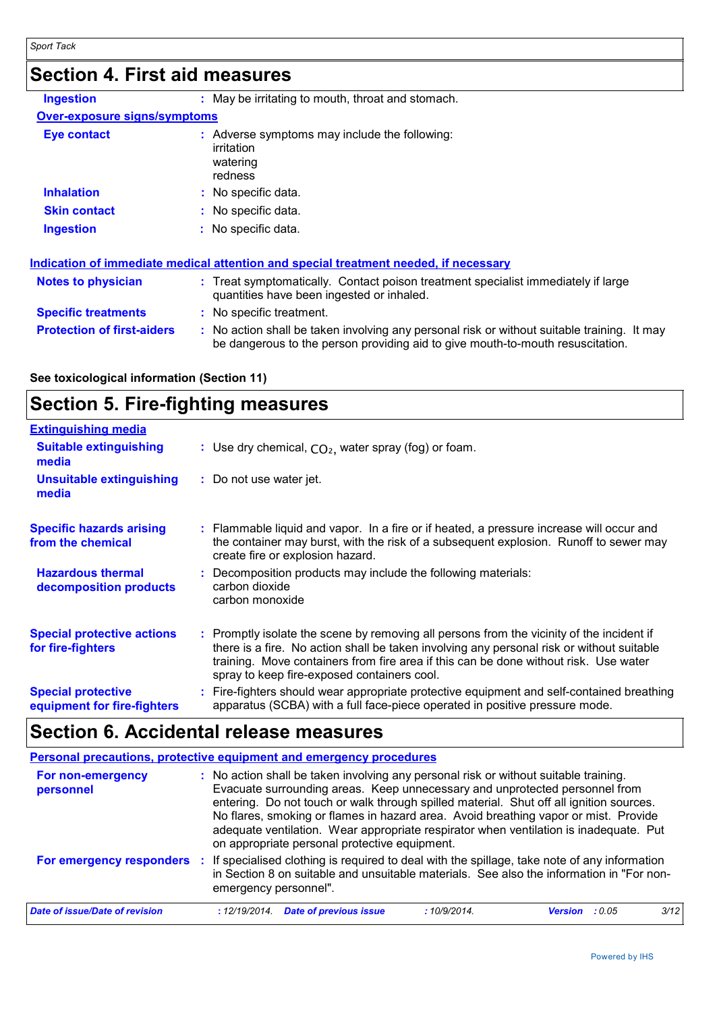## **Section 4. First aid measures**

| <b>Ingestion</b>                                                                                                                                                                                                               | : May be irritating to mouth, throat and stomach.                                                                              |
|--------------------------------------------------------------------------------------------------------------------------------------------------------------------------------------------------------------------------------|--------------------------------------------------------------------------------------------------------------------------------|
| <b>Over-exposure signs/symptoms</b>                                                                                                                                                                                            |                                                                                                                                |
| <b>Eye contact</b>                                                                                                                                                                                                             | : Adverse symptoms may include the following:<br>irritation<br>watering<br>redness                                             |
| <b>Inhalation</b>                                                                                                                                                                                                              | : No specific data.                                                                                                            |
| <b>Skin contact</b>                                                                                                                                                                                                            | : No specific data.                                                                                                            |
| <b>Ingestion</b>                                                                                                                                                                                                               | : No specific data.                                                                                                            |
|                                                                                                                                                                                                                                | <u>Indication of immediate medical attention and special treatment needed, if necessary</u>                                    |
| <b>Notes to physician</b>                                                                                                                                                                                                      | : Treat symptomatically. Contact poison treatment specialist immediately if large<br>quantities have been ingested or inhaled. |
| and the second state of the second state of the second state of the second state of the second state of the second state of the second state of the second state of the second state of the second state of the second state o | All a constant of the contract and the constant                                                                                |

**Specific treatments :** No specific treatment.

| <b>Protection of first-aiders</b> | : No action shall be taken involving any personal risk or without suitable training. It may |  |
|-----------------------------------|---------------------------------------------------------------------------------------------|--|
|                                   | be dangerous to the person providing aid to give mouth-to-mouth resuscitation.              |  |

#### **See toxicological information (Section 11)**

## **Section 5. Fire-fighting measures**

| <b>Extinguishing media</b>                               |                                                                                                                                                                                                                                                                                                                               |
|----------------------------------------------------------|-------------------------------------------------------------------------------------------------------------------------------------------------------------------------------------------------------------------------------------------------------------------------------------------------------------------------------|
| <b>Suitable extinguishing</b><br>media                   | : Use dry chemical, $CO2$ , water spray (fog) or foam.                                                                                                                                                                                                                                                                        |
| <b>Unsuitable extinguishing</b><br>media                 | : Do not use water jet.                                                                                                                                                                                                                                                                                                       |
| <b>Specific hazards arising</b><br>from the chemical     | : Flammable liquid and vapor. In a fire or if heated, a pressure increase will occur and<br>the container may burst, with the risk of a subsequent explosion. Runoff to sewer may<br>create fire or explosion hazard.                                                                                                         |
| <b>Hazardous thermal</b><br>decomposition products       | : Decomposition products may include the following materials:<br>carbon dioxide<br>carbon monoxide                                                                                                                                                                                                                            |
| <b>Special protective actions</b><br>for fire-fighters   | : Promptly isolate the scene by removing all persons from the vicinity of the incident if<br>there is a fire. No action shall be taken involving any personal risk or without suitable<br>training. Move containers from fire area if this can be done without risk. Use water<br>spray to keep fire-exposed containers cool. |
| <b>Special protective</b><br>equipment for fire-fighters | : Fire-fighters should wear appropriate protective equipment and self-contained breathing<br>apparatus (SCBA) with a full face-piece operated in positive pressure mode.                                                                                                                                                      |

## **Section 6. Accidental release measures**

| <b>Personal precautions, protective equipment and emergency procedures</b> |               |                                               |                                                                                                                                                                                                                                                                                                                                                                                                                                                |                       |      |
|----------------------------------------------------------------------------|---------------|-----------------------------------------------|------------------------------------------------------------------------------------------------------------------------------------------------------------------------------------------------------------------------------------------------------------------------------------------------------------------------------------------------------------------------------------------------------------------------------------------------|-----------------------|------|
| For non-emergency<br>personnel                                             |               | on appropriate personal protective equipment. | : No action shall be taken involving any personal risk or without suitable training.<br>Evacuate surrounding areas. Keep unnecessary and unprotected personnel from<br>entering. Do not touch or walk through spilled material. Shut off all ignition sources.<br>No flares, smoking or flames in hazard area. Avoid breathing vapor or mist. Provide<br>adequate ventilation. Wear appropriate respirator when ventilation is inadequate. Put |                       |      |
| For emergency responders :                                                 |               | emergency personnel".                         | If specialised clothing is required to deal with the spillage, take note of any information<br>in Section 8 on suitable and unsuitable materials. See also the information in "For non-                                                                                                                                                                                                                                                        |                       |      |
| Date of issue/Date of revision                                             | : 12/19/2014. | <b>Date of previous issue</b>                 | :10/9/2014                                                                                                                                                                                                                                                                                                                                                                                                                                     | <b>Version</b> : 0.05 | 3/12 |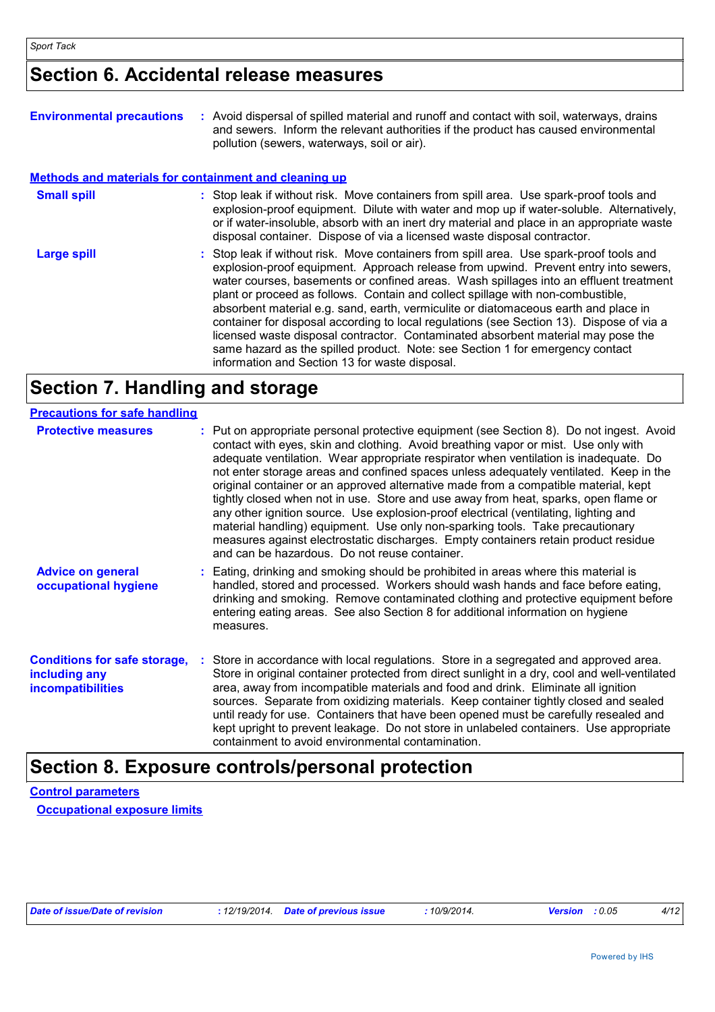### **Section 6. Accidental release measures**

| <b>Environmental precautions</b>                             | : Avoid dispersal of spilled material and runoff and contact with soil, waterways, drains<br>and sewers. Inform the relevant authorities if the product has caused environmental<br>pollution (sewers, waterways, soil or air).                                                                                                                                                                                                                                                                                                                                                                                                                                                                                                                                      |
|--------------------------------------------------------------|----------------------------------------------------------------------------------------------------------------------------------------------------------------------------------------------------------------------------------------------------------------------------------------------------------------------------------------------------------------------------------------------------------------------------------------------------------------------------------------------------------------------------------------------------------------------------------------------------------------------------------------------------------------------------------------------------------------------------------------------------------------------|
| <b>Methods and materials for containment and cleaning up</b> |                                                                                                                                                                                                                                                                                                                                                                                                                                                                                                                                                                                                                                                                                                                                                                      |
| <b>Small spill</b>                                           | : Stop leak if without risk. Move containers from spill area. Use spark-proof tools and<br>explosion-proof equipment. Dilute with water and mop up if water-soluble. Alternatively,<br>or if water-insoluble, absorb with an inert dry material and place in an appropriate waste<br>disposal container. Dispose of via a licensed waste disposal contractor.                                                                                                                                                                                                                                                                                                                                                                                                        |
| <b>Large spill</b>                                           | : Stop leak if without risk. Move containers from spill area. Use spark-proof tools and<br>explosion-proof equipment. Approach release from upwind. Prevent entry into sewers,<br>water courses, basements or confined areas. Wash spillages into an effluent treatment<br>plant or proceed as follows. Contain and collect spillage with non-combustible,<br>absorbent material e.g. sand, earth, vermiculite or diatomaceous earth and place in<br>container for disposal according to local regulations (see Section 13). Dispose of via a<br>licensed waste disposal contractor. Contaminated absorbent material may pose the<br>same hazard as the spilled product. Note: see Section 1 for emergency contact<br>information and Section 13 for waste disposal. |

## **Section 7. Handling and storage**

| <b>Precautions for safe handling</b>                                             |                                                                                                                                                                                                                                                                                                                                                                                                                                                                                                                                                                                                                                                                                                                                                                                                                                                               |
|----------------------------------------------------------------------------------|---------------------------------------------------------------------------------------------------------------------------------------------------------------------------------------------------------------------------------------------------------------------------------------------------------------------------------------------------------------------------------------------------------------------------------------------------------------------------------------------------------------------------------------------------------------------------------------------------------------------------------------------------------------------------------------------------------------------------------------------------------------------------------------------------------------------------------------------------------------|
| <b>Protective measures</b>                                                       | : Put on appropriate personal protective equipment (see Section 8). Do not ingest. Avoid<br>contact with eyes, skin and clothing. Avoid breathing vapor or mist. Use only with<br>adequate ventilation. Wear appropriate respirator when ventilation is inadequate. Do<br>not enter storage areas and confined spaces unless adequately ventilated. Keep in the<br>original container or an approved alternative made from a compatible material, kept<br>tightly closed when not in use. Store and use away from heat, sparks, open flame or<br>any other ignition source. Use explosion-proof electrical (ventilating, lighting and<br>material handling) equipment. Use only non-sparking tools. Take precautionary<br>measures against electrostatic discharges. Empty containers retain product residue<br>and can be hazardous. Do not reuse container. |
| <b>Advice on general</b><br>occupational hygiene                                 | : Eating, drinking and smoking should be prohibited in areas where this material is<br>handled, stored and processed. Workers should wash hands and face before eating,<br>drinking and smoking. Remove contaminated clothing and protective equipment before<br>entering eating areas. See also Section 8 for additional information on hygiene<br>measures.                                                                                                                                                                                                                                                                                                                                                                                                                                                                                                 |
| <b>Conditions for safe storage,</b><br>including any<br><b>incompatibilities</b> | : Store in accordance with local regulations. Store in a segregated and approved area.<br>Store in original container protected from direct sunlight in a dry, cool and well-ventilated<br>area, away from incompatible materials and food and drink. Eliminate all ignition<br>sources. Separate from oxidizing materials. Keep container tightly closed and sealed<br>until ready for use. Containers that have been opened must be carefully resealed and<br>kept upright to prevent leakage. Do not store in unlabeled containers. Use appropriate<br>containment to avoid environmental contamination.                                                                                                                                                                                                                                                   |

## **Section 8. Exposure controls/personal protection**

**Control parameters Occupational exposure limits**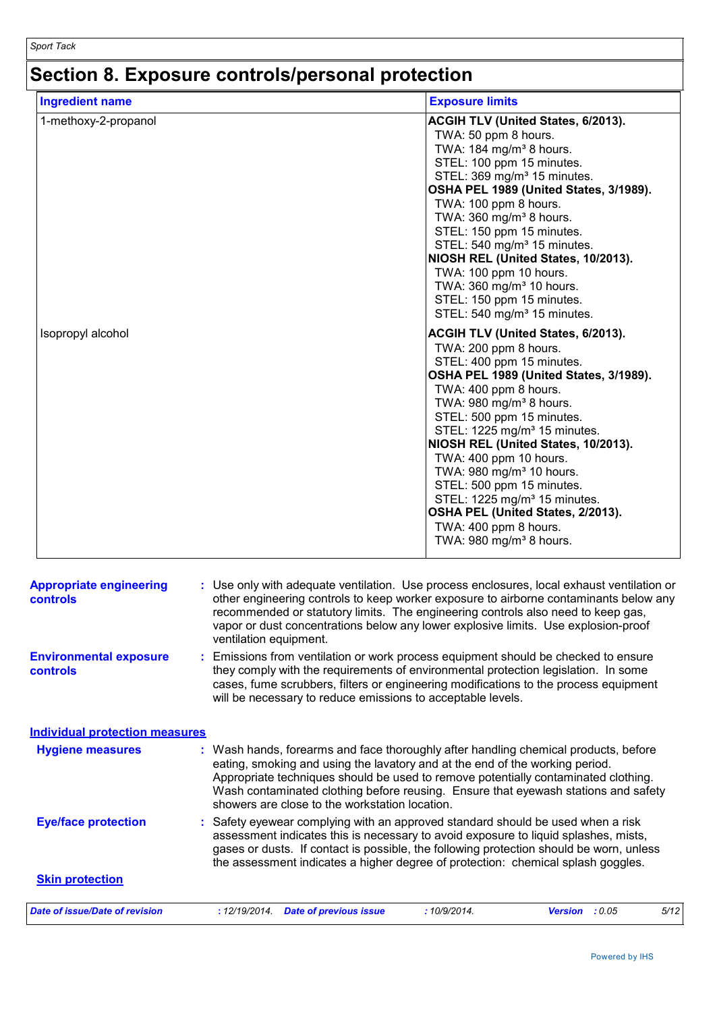## **Section 8. Exposure controls/personal protection**

| <b>Ingredient name</b> | <b>Exposure limits</b>                                                                                                                                                                                                                                                                                                                                                                                                                                                                                                                                            |
|------------------------|-------------------------------------------------------------------------------------------------------------------------------------------------------------------------------------------------------------------------------------------------------------------------------------------------------------------------------------------------------------------------------------------------------------------------------------------------------------------------------------------------------------------------------------------------------------------|
| 1-methoxy-2-propanol   | ACGIH TLV (United States, 6/2013).<br>TWA: 50 ppm 8 hours.<br>TWA: 184 mg/m <sup>3</sup> 8 hours.<br>STEL: 100 ppm 15 minutes.<br>STEL: 369 mg/m <sup>3</sup> 15 minutes.<br>OSHA PEL 1989 (United States, 3/1989).<br>TWA: 100 ppm 8 hours.<br>TWA: 360 mg/m <sup>3</sup> 8 hours.<br>STEL: 150 ppm 15 minutes.<br>STEL: 540 mg/m <sup>3</sup> 15 minutes.<br>NIOSH REL (United States, 10/2013).<br>TWA: 100 ppm 10 hours.<br>TWA: 360 mg/m <sup>3</sup> 10 hours.<br>STEL: 150 ppm 15 minutes.<br>STEL: 540 mg/m <sup>3</sup> 15 minutes.                      |
| Isopropyl alcohol      | ACGIH TLV (United States, 6/2013).<br>TWA: 200 ppm 8 hours.<br>STEL: 400 ppm 15 minutes.<br>OSHA PEL 1989 (United States, 3/1989).<br>TWA: 400 ppm 8 hours.<br>TWA: 980 mg/m <sup>3</sup> 8 hours.<br>STEL: 500 ppm 15 minutes.<br>STEL: 1225 mg/m <sup>3</sup> 15 minutes.<br>NIOSH REL (United States, 10/2013).<br>TWA: 400 ppm 10 hours.<br>TWA: 980 mg/m <sup>3</sup> 10 hours.<br>STEL: 500 ppm 15 minutes.<br>STEL: 1225 mg/m <sup>3</sup> 15 minutes.<br>OSHA PEL (United States, 2/2013).<br>TWA: 400 ppm 8 hours.<br>TWA: $980 \text{ mg/m}^3$ 8 hours. |

| <b>Appropriate engineering</b><br><b>controls</b> | : Use only with adequate ventilation. Use process enclosures, local exhaust ventilation or<br>other engineering controls to keep worker exposure to airborne contaminants below any<br>recommended or statutory limits. The engineering controls also need to keep gas,<br>vapor or dust concentrations below any lower explosive limits. Use explosion-proof<br>ventilation equipment.           |  |  |  |  |  |
|---------------------------------------------------|---------------------------------------------------------------------------------------------------------------------------------------------------------------------------------------------------------------------------------------------------------------------------------------------------------------------------------------------------------------------------------------------------|--|--|--|--|--|
| <b>Environmental exposure</b><br>controls         | Emissions from ventilation or work process equipment should be checked to ensure<br>they comply with the requirements of environmental protection legislation. In some<br>cases, fume scrubbers, filters or engineering modifications to the process equipment<br>will be necessary to reduce emissions to acceptable levels.                                                                     |  |  |  |  |  |
| <b>Individual protection measures</b>             |                                                                                                                                                                                                                                                                                                                                                                                                   |  |  |  |  |  |
| <b>Hygiene measures</b>                           | : Wash hands, forearms and face thoroughly after handling chemical products, before<br>eating, smoking and using the lavatory and at the end of the working period.<br>Appropriate techniques should be used to remove potentially contaminated clothing.<br>Wash contaminated clothing before reusing. Ensure that eyewash stations and safety<br>showers are close to the workstation location. |  |  |  |  |  |
| <b>Eye/face protection</b>                        | Safety eyewear complying with an approved standard should be used when a risk<br>assessment indicates this is necessary to avoid exposure to liquid splashes, mists,<br>gases or dusts. If contact is possible, the following protection should be worn, unless<br>the assessment indicates a higher degree of protection: chemical splash goggles.                                               |  |  |  |  |  |
| <b>Skin protection</b>                            |                                                                                                                                                                                                                                                                                                                                                                                                   |  |  |  |  |  |
| Date of issue/Date of revision                    | : 12/19/2014.<br><b>Date of previous issue</b><br>:10/9/2014.<br>: 0.05<br>5/12<br><b>Version</b>                                                                                                                                                                                                                                                                                                 |  |  |  |  |  |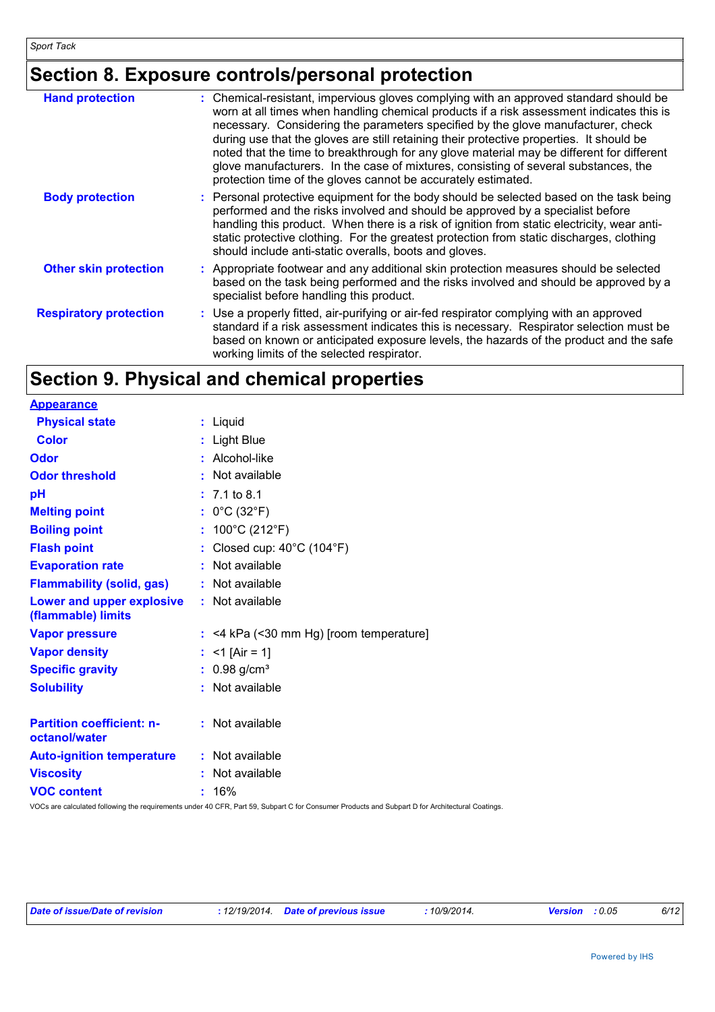## **Section 8. Exposure controls/personal protection**

| <b>Hand protection</b>        | : Chemical-resistant, impervious gloves complying with an approved standard should be<br>worn at all times when handling chemical products if a risk assessment indicates this is<br>necessary. Considering the parameters specified by the glove manufacturer, check<br>during use that the gloves are still retaining their protective properties. It should be<br>noted that the time to breakthrough for any glove material may be different for different<br>glove manufacturers. In the case of mixtures, consisting of several substances, the<br>protection time of the gloves cannot be accurately estimated. |
|-------------------------------|------------------------------------------------------------------------------------------------------------------------------------------------------------------------------------------------------------------------------------------------------------------------------------------------------------------------------------------------------------------------------------------------------------------------------------------------------------------------------------------------------------------------------------------------------------------------------------------------------------------------|
| <b>Body protection</b>        | : Personal protective equipment for the body should be selected based on the task being<br>performed and the risks involved and should be approved by a specialist before<br>handling this product. When there is a risk of ignition from static electricity, wear anti-<br>static protective clothing. For the greatest protection from static discharges, clothing<br>should include anti-static overalls, boots and gloves.                                                                                                                                                                                         |
| <b>Other skin protection</b>  | : Appropriate footwear and any additional skin protection measures should be selected<br>based on the task being performed and the risks involved and should be approved by a<br>specialist before handling this product.                                                                                                                                                                                                                                                                                                                                                                                              |
| <b>Respiratory protection</b> | : Use a properly fitted, air-purifying or air-fed respirator complying with an approved<br>standard if a risk assessment indicates this is necessary. Respirator selection must be<br>based on known or anticipated exposure levels, the hazards of the product and the safe<br>working limits of the selected respirator.                                                                                                                                                                                                                                                                                             |

## **Section 9. Physical and chemical properties**

| <b>Appearance</b>                                 |                                         |
|---------------------------------------------------|-----------------------------------------|
| <b>Physical state</b>                             | : Liquid                                |
| <b>Color</b>                                      | : Light Blue                            |
| <b>Odor</b>                                       | : Alcohol-like                          |
| <b>Odor threshold</b>                             | : Not available                         |
| рH                                                | $: 7.1$ to 8.1                          |
| <b>Melting point</b>                              | : $0^{\circ}$ C (32 $^{\circ}$ F)       |
| <b>Boiling point</b>                              | : $100^{\circ}$ C (212 $^{\circ}$ F)    |
| <b>Flash point</b>                                | : Closed cup: 40°C (104°F)              |
| <b>Evaporation rate</b>                           | : Not available                         |
| <b>Flammability (solid, gas)</b>                  | : Not available                         |
| Lower and upper explosive<br>(flammable) limits   | : Not available                         |
| <b>Vapor pressure</b>                             | : <4 kPa (<30 mm Hg) [room temperature] |
| <b>Vapor density</b>                              | : $<$ 1 [Air = 1]                       |
| <b>Specific gravity</b>                           | $: 0.98$ g/cm <sup>3</sup>              |
| <b>Solubility</b>                                 | : Not available                         |
| <b>Partition coefficient: n-</b><br>octanol/water | : Not available                         |
| <b>Auto-ignition temperature</b>                  | : Not available                         |
| <b>Viscosity</b>                                  | : Not available                         |
| <b>VOC content</b>                                | $: 16\%$                                |

VOCs are calculated following the requirements under 40 CFR, Part 59, Subpart C for Consumer Products and Subpart D for Architectural Coatings.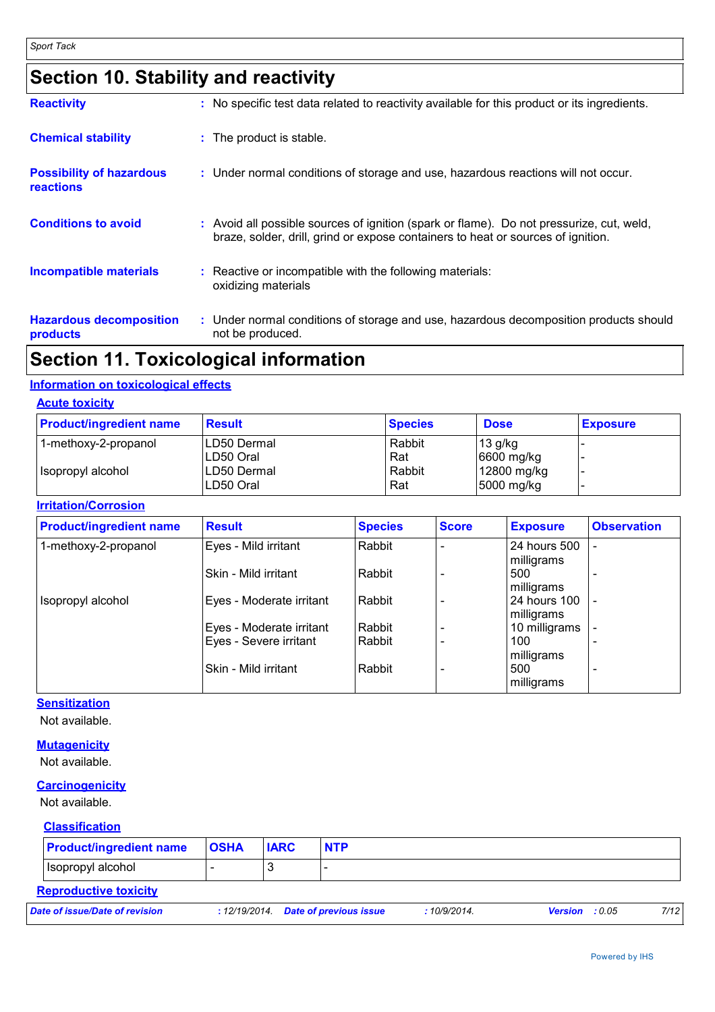## **Section 10. Stability and reactivity**

| <b>Reactivity</b>                                   | : No specific test data related to reactivity available for this product or its ingredients.                                                                                 |
|-----------------------------------------------------|------------------------------------------------------------------------------------------------------------------------------------------------------------------------------|
| <b>Chemical stability</b>                           | : The product is stable.                                                                                                                                                     |
| <b>Possibility of hazardous</b><br><b>reactions</b> | : Under normal conditions of storage and use, hazardous reactions will not occur.                                                                                            |
| <b>Conditions to avoid</b>                          | : Avoid all possible sources of ignition (spark or flame). Do not pressurize, cut, weld,<br>braze, solder, drill, grind or expose containers to heat or sources of ignition. |
| <b>Incompatible materials</b>                       | : Reactive or incompatible with the following materials:<br>oxidizing materials                                                                                              |
| <b>Hazardous decomposition</b><br>products          | : Under normal conditions of storage and use, hazardous decomposition products should<br>not be produced.                                                                    |

## **Section 11. Toxicological information**

#### **Information on toxicological effects**

| <b>Acute toxicity</b> |
|-----------------------|
|                       |
|                       |

| <b>Product/ingredient name</b> | <b>Result</b>            | <b>Species</b> | <b>Dose</b>               | <b>Exposure</b> |
|--------------------------------|--------------------------|----------------|---------------------------|-----------------|
| 1-methoxy-2-propanol           | LD50 Dermal<br>LD50 Oral | Rabbit<br>Rat  | $13$ g/kg<br>6600 mg/kg   |                 |
| I Isopropyl alcohol            | LD50 Dermal<br>LD50 Oral | Rabbit<br>Rat  | 12800 mg/kg<br>5000 mg/kg |                 |

#### **Irritation/Corrosion**

| <b>Product/ingredient name</b> | <b>Result</b>            | <b>Species</b> | <b>Score</b> | <b>Exposure</b>            | <b>Observation</b> |
|--------------------------------|--------------------------|----------------|--------------|----------------------------|--------------------|
| 1-methoxy-2-propanol           | Eyes - Mild irritant     | Rabbit         |              | 24 hours 500<br>milligrams |                    |
|                                | lSkin - Mild irritant    | Rabbit         |              | 500<br>milligrams          |                    |
| Isopropyl alcohol              | Eyes - Moderate irritant | Rabbit         |              | 24 hours 100<br>milligrams |                    |
|                                | Eyes - Moderate irritant | Rabbit         |              | 10 milligrams              |                    |
|                                | Eyes - Severe irritant   | Rabbit         |              | 100<br>milligrams          |                    |
|                                | lSkin - Mild irritant    | Rabbit         |              | 500<br>milligrams          |                    |

#### **Sensitization**

Not available.

#### **Mutagenicity**

Not available.

#### **Carcinogenicity**

Not available.

#### **Classification**

| <b>Product/ingredient name</b> | <b>OSHA</b> | <b>IARC</b> | <b>NTP</b> |
|--------------------------------|-------------|-------------|------------|
| Isopropyl alcohol              |             | u           |            |
| <b>Reproductive toxicity</b>   |             |             |            |

*Date of issue/Date of revision* **:** *12/19/2014. Date of previous issue : 10/9/2014. Version : 0.05 7/12*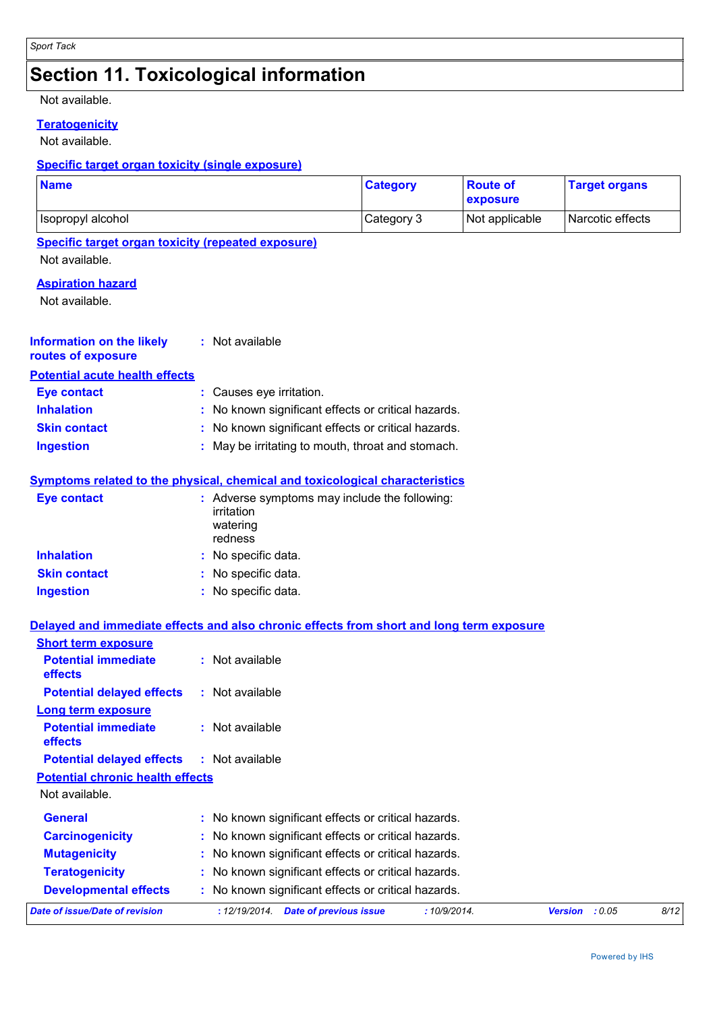## **Section 11. Toxicological information**

#### Not available.

**Teratogenicity**

Not available.

#### **Specific target organ toxicity (single exposure)**

| <b>Name</b>                                                                              |    |                                                                                    | <b>Category</b> | <b>Route of</b><br>exposure | <b>Target organs</b> |      |
|------------------------------------------------------------------------------------------|----|------------------------------------------------------------------------------------|-----------------|-----------------------------|----------------------|------|
| Isopropyl alcohol                                                                        |    |                                                                                    | Category 3      | Not applicable              | Narcotic effects     |      |
| <b>Specific target organ toxicity (repeated exposure)</b><br>Not available.              |    |                                                                                    |                 |                             |                      |      |
| <b>Aspiration hazard</b><br>Not available.                                               |    |                                                                                    |                 |                             |                      |      |
| <b>Information on the likely</b><br>routes of exposure                                   |    | : Not available                                                                    |                 |                             |                      |      |
| <b>Potential acute health effects</b>                                                    |    |                                                                                    |                 |                             |                      |      |
| <b>Eye contact</b>                                                                       |    | Causes eye irritation.                                                             |                 |                             |                      |      |
| <b>Inhalation</b>                                                                        |    | No known significant effects or critical hazards.                                  |                 |                             |                      |      |
| <b>Skin contact</b>                                                                      |    | No known significant effects or critical hazards.                                  |                 |                             |                      |      |
| <b>Ingestion</b>                                                                         |    | May be irritating to mouth, throat and stomach.                                    |                 |                             |                      |      |
| Symptoms related to the physical, chemical and toxicological characteristics             |    |                                                                                    |                 |                             |                      |      |
| <b>Eye contact</b>                                                                       |    | : Adverse symptoms may include the following:<br>irritation<br>watering<br>redness |                 |                             |                      |      |
| <b>Inhalation</b>                                                                        |    | No specific data.                                                                  |                 |                             |                      |      |
| <b>Skin contact</b>                                                                      |    | No specific data.                                                                  |                 |                             |                      |      |
| <b>Ingestion</b>                                                                         |    | : No specific data.                                                                |                 |                             |                      |      |
| Delayed and immediate effects and also chronic effects from short and long term exposure |    |                                                                                    |                 |                             |                      |      |
| <b>Short term exposure</b>                                                               |    |                                                                                    |                 |                             |                      |      |
| <b>Potential immediate</b><br>effects                                                    |    | : Not available                                                                    |                 |                             |                      |      |
| <b>Potential delayed effects</b>                                                         |    | : Not available                                                                    |                 |                             |                      |      |
| Long term exposure                                                                       |    |                                                                                    |                 |                             |                      |      |
| <b>Potential immediate</b><br>effects                                                    |    | Not available                                                                      |                 |                             |                      |      |
| <b>Potential delayed effects</b>                                                         | ÷. | Not available                                                                      |                 |                             |                      |      |
| <b>Potential chronic health effects</b>                                                  |    |                                                                                    |                 |                             |                      |      |
| Not available.                                                                           |    |                                                                                    |                 |                             |                      |      |
| <b>General</b>                                                                           |    | No known significant effects or critical hazards.                                  |                 |                             |                      |      |
| <b>Carcinogenicity</b>                                                                   |    | No known significant effects or critical hazards.                                  |                 |                             |                      |      |
| <b>Mutagenicity</b>                                                                      |    | No known significant effects or critical hazards.                                  |                 |                             |                      |      |
| <b>Teratogenicity</b>                                                                    |    | No known significant effects or critical hazards.                                  |                 |                             |                      |      |
| <b>Developmental effects</b>                                                             |    | No known significant effects or critical hazards.                                  |                 |                             |                      |      |
| <b>Date of issue/Date of revision</b>                                                    |    | : 12/19/2014 Date of previous issue                                                | : 10/9/2014.    |                             | Version : 0.05       | 8/12 |
|                                                                                          |    |                                                                                    |                 |                             |                      |      |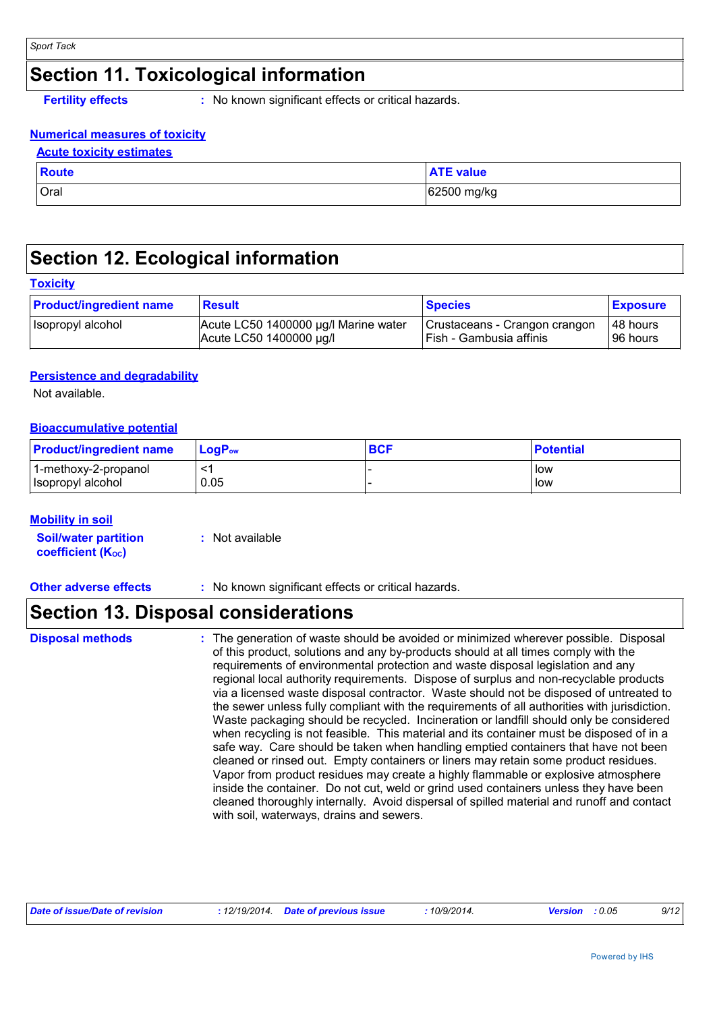### **Section 11. Toxicological information**

**Fertility effects :** No known significant effects or critical hazards.

#### **Numerical measures of toxicity**

| <b>Route</b> | <b>ATE value</b> |
|--------------|------------------|
| Oral         | 62500 mg/kg      |

## **Section 12. Ecological information**

#### **Toxicity**

| <b>Product/ingredient name</b> | <b>Result</b>                        | <b>Species</b>                | <b>Exposure</b> |
|--------------------------------|--------------------------------------|-------------------------------|-----------------|
| Isopropyl alcohol              | Acute LC50 1400000 µg/l Marine water | Crustaceans - Crangon crangon | 48 hours        |
|                                | Acute LC50 1400000 µg/l              | I Fish - Gambusia affinis     | 96 hours        |

#### **Persistence and degradability**

Not available.

#### **Bioaccumulative potential**

| <b>Product/ingredient name</b>            | $LoaPow$ | <b>BCF</b> | <b>Potential</b> |
|-------------------------------------------|----------|------------|------------------|
| 1-methoxy-2-propanol<br>Isopropyl alcohol | 0.05     |            | low<br>low       |

#### **Mobility in soil**

| <b>Soil/water partition</b>    | : Not available |
|--------------------------------|-----------------|
| coefficient (K <sub>oc</sub> ) |                 |

**Other adverse effects :** No known significant effects or critical hazards.

### **Section 13. Disposal considerations**

#### **Disposal methods :**

The generation of waste should be avoided or minimized wherever possible. Disposal of this product, solutions and any by-products should at all times comply with the requirements of environmental protection and waste disposal legislation and any regional local authority requirements. Dispose of surplus and non-recyclable products via a licensed waste disposal contractor. Waste should not be disposed of untreated to the sewer unless fully compliant with the requirements of all authorities with jurisdiction. Waste packaging should be recycled. Incineration or landfill should only be considered when recycling is not feasible. This material and its container must be disposed of in a safe way. Care should be taken when handling emptied containers that have not been cleaned or rinsed out. Empty containers or liners may retain some product residues. Vapor from product residues may create a highly flammable or explosive atmosphere inside the container. Do not cut, weld or grind used containers unless they have been cleaned thoroughly internally. Avoid dispersal of spilled material and runoff and contact with soil, waterways, drains and sewers.

| Date of issue/Date of revision | : 12/19/2014  Date of previous issue | 10/9/2014. | <b>Version</b> : $0.05$ | 9/12 |
|--------------------------------|--------------------------------------|------------|-------------------------|------|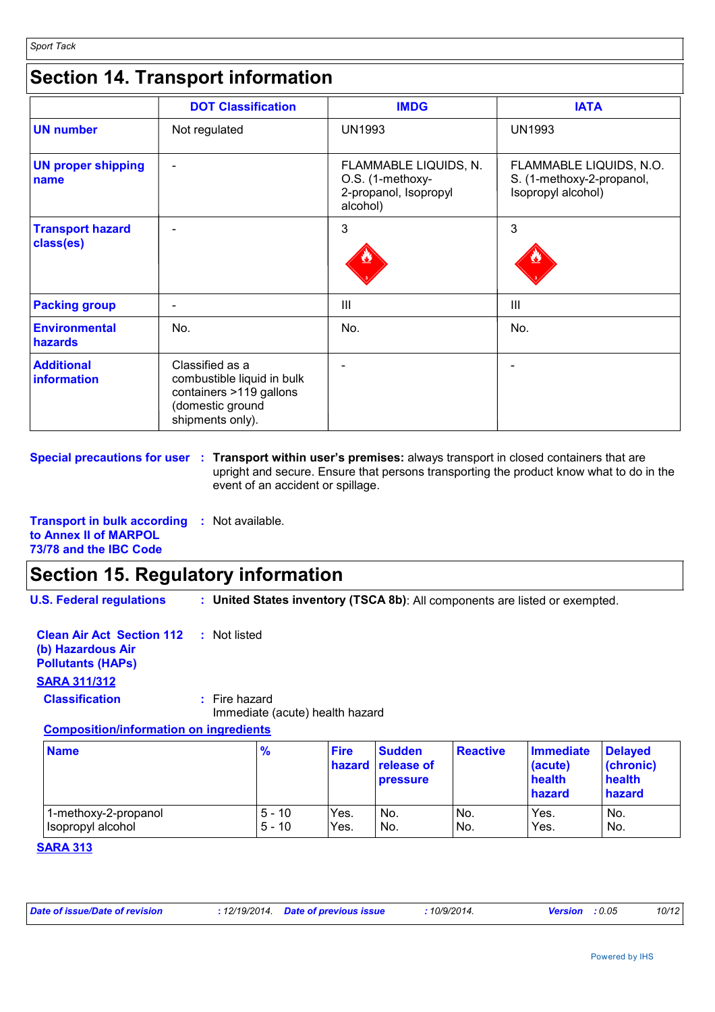## **Section 14. Transport information**

|                                      | <b>DOT Classification</b>                                                                                        | <b>IMDG</b>                                                                    | <b>IATA</b>                                                                |
|--------------------------------------|------------------------------------------------------------------------------------------------------------------|--------------------------------------------------------------------------------|----------------------------------------------------------------------------|
| <b>UN number</b>                     | Not regulated                                                                                                    | <b>UN1993</b>                                                                  | <b>UN1993</b>                                                              |
| <b>UN proper shipping</b><br>name    | ۰                                                                                                                | FLAMMABLE LIQUIDS, N.<br>O.S. (1-methoxy-<br>2-propanol, Isopropyl<br>alcohol) | FLAMMABLE LIQUIDS, N.O.<br>S. (1-methoxy-2-propanol,<br>Isopropyl alcohol) |
| <b>Transport hazard</b><br>class(es) |                                                                                                                  | 3                                                                              | 3                                                                          |
| <b>Packing group</b>                 |                                                                                                                  | Ш                                                                              | III                                                                        |
| <b>Environmental</b><br>hazards      | No.                                                                                                              | No.                                                                            | No.                                                                        |
| <b>Additional</b><br>information     | Classified as a<br>combustible liquid in bulk<br>containers >119 gallons<br>(domestic ground<br>shipments only). |                                                                                |                                                                            |

**Special precautions for user : Transport within user's premises: always transport in closed containers that are** upright and secure. Ensure that persons transporting the product know what to do in the event of an accident or spillage.

**Transport in bulk according :** Not available. **to Annex II of MARPOL 73/78 and the IBC Code**

## **Section 15. Regulatory information**

**U.S. Federal regulations :**

**United States inventory (TSCA 8b)**: All components are listed or exempted.

**Clean Air Act Section 112 (b) Hazardous Air Pollutants (HAPs) :** Not listed **SARA 311/312 Classification :** Fire hazard

Immediate (acute) health hazard

#### **Composition/information on ingredients**

| <b>Name</b>          | $\frac{9}{6}$ | <b>Fire</b> | <b>Sudden</b><br>hazard release of<br><b>pressure</b> | <b>Reactive</b> | <b>Immediate</b><br>(acute)<br>health<br>hazard | <b>Delaved</b><br>(chronic)<br>health<br>hazard |
|----------------------|---------------|-------------|-------------------------------------------------------|-----------------|-------------------------------------------------|-------------------------------------------------|
| 1-methoxy-2-propanol | $5 - 10$      | Yes.        | No.                                                   | No.             | Yes.                                            | No.                                             |
| Isopropyl alcohol    | $5 - 10$      | Yes.        | No.                                                   | No.             | Yes.                                            | No.                                             |

#### **SARA 313**

| Date of issue/Date of revision | : 12/19/2014 Date of previous issue | 10/9/2014. | <b>Version</b> : $0.05$ | 10/12 |
|--------------------------------|-------------------------------------|------------|-------------------------|-------|
|                                |                                     |            |                         |       |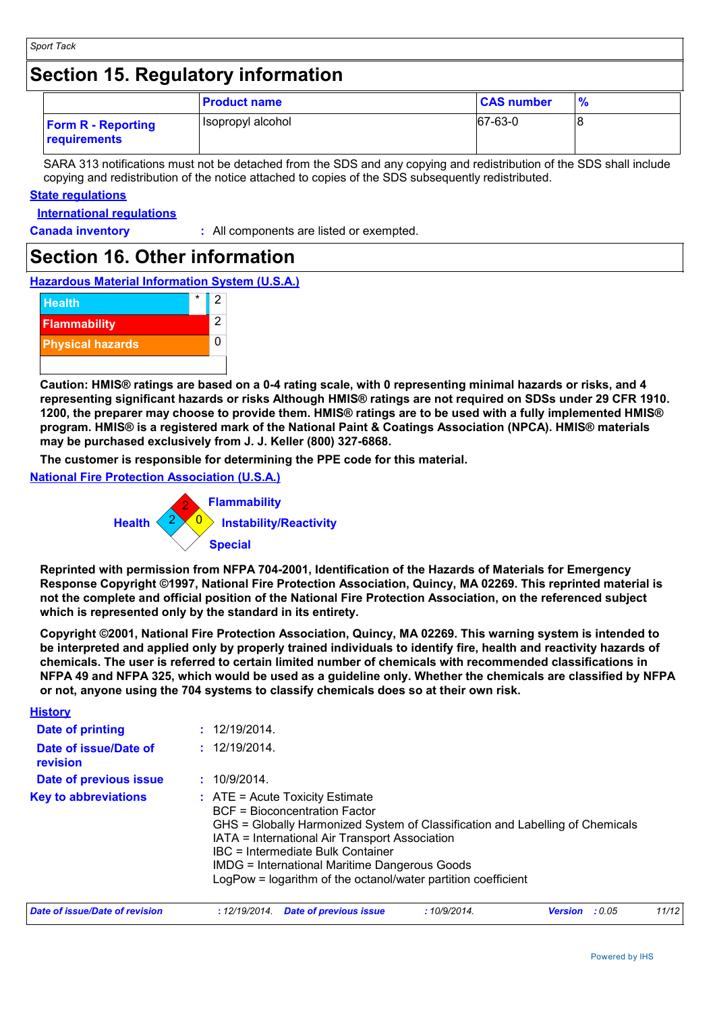### **Section 15. Regulatory information**

|                                           | <b>Product name</b> | <b>CAS number</b> | $\frac{9}{6}$ |
|-------------------------------------------|---------------------|-------------------|---------------|
| <b>Form R - Reporting</b><br>requirements | Isopropyl alcohol   | 67-63-0           |               |

SARA 313 notifications must not be detached from the SDS and any copying and redistribution of the SDS shall include copying and redistribution of the notice attached to copies of the SDS subsequently redistributed.

#### **State regulations**

**International regulations**

**History**

**Canada inventory :** All components are listed or exempted.

### **Section 16. Other information**

**Hazardous Material Information System (U.S.A.)**



**Caution: HMIS® ratings are based on a 0-4 rating scale, with 0 representing minimal hazards or risks, and 4 representing significant hazards or risks Although HMIS® ratings are not required on SDSs under 29 CFR 1910. 1200, the preparer may choose to provide them. HMIS® ratings are to be used with a fully implemented HMIS® program. HMIS® is a registered mark of the National Paint & Coatings Association (NPCA). HMIS® materials may be purchased exclusively from J. J. Keller (800) 327-6868.**

**The customer is responsible for determining the PPE code for this material.**

**National Fire Protection Association (U.S.A.)**



**Reprinted with permission from NFPA 704-2001, Identification of the Hazards of Materials for Emergency Response Copyright ©1997, National Fire Protection Association, Quincy, MA 02269. This reprinted material is not the complete and official position of the National Fire Protection Association, on the referenced subject which is represented only by the standard in its entirety.**

**Copyright ©2001, National Fire Protection Association, Quincy, MA 02269. This warning system is intended to be interpreted and applied only by properly trained individuals to identify fire, health and reactivity hazards of chemicals. The user is referred to certain limited number of chemicals with recommended classifications in NFPA 49 and NFPA 325, which would be used as a guideline only. Whether the chemicals are classified by NFPA or not, anyone using the 704 systems to classify chemicals does so at their own risk.**

| <u>нюшт</u>                       |                                                                                                                                                                                                                                                                                                                                                                                     |
|-----------------------------------|-------------------------------------------------------------------------------------------------------------------------------------------------------------------------------------------------------------------------------------------------------------------------------------------------------------------------------------------------------------------------------------|
| Date of printing                  | : 12/19/2014.                                                                                                                                                                                                                                                                                                                                                                       |
| Date of issue/Date of<br>revision | : 12/19/2014.                                                                                                                                                                                                                                                                                                                                                                       |
| Date of previous issue            | : 10/9/2014.                                                                                                                                                                                                                                                                                                                                                                        |
| <b>Key to abbreviations</b>       | $\therefore$ ATE = Acute Toxicity Estimate<br><b>BCF</b> = Bioconcentration Factor<br>GHS = Globally Harmonized System of Classification and Labelling of Chemicals<br>IATA = International Air Transport Association<br>IBC = Intermediate Bulk Container<br><b>IMDG = International Maritime Dangerous Goods</b><br>LogPow = logarithm of the octanol/water partition coefficient |

| Date of issue/Date of revision | : 12/19/2014 Date of previous issue | 10/9/2014. | <b>Version</b> : 0.05 | 11/12 |
|--------------------------------|-------------------------------------|------------|-----------------------|-------|
|                                |                                     |            |                       |       |